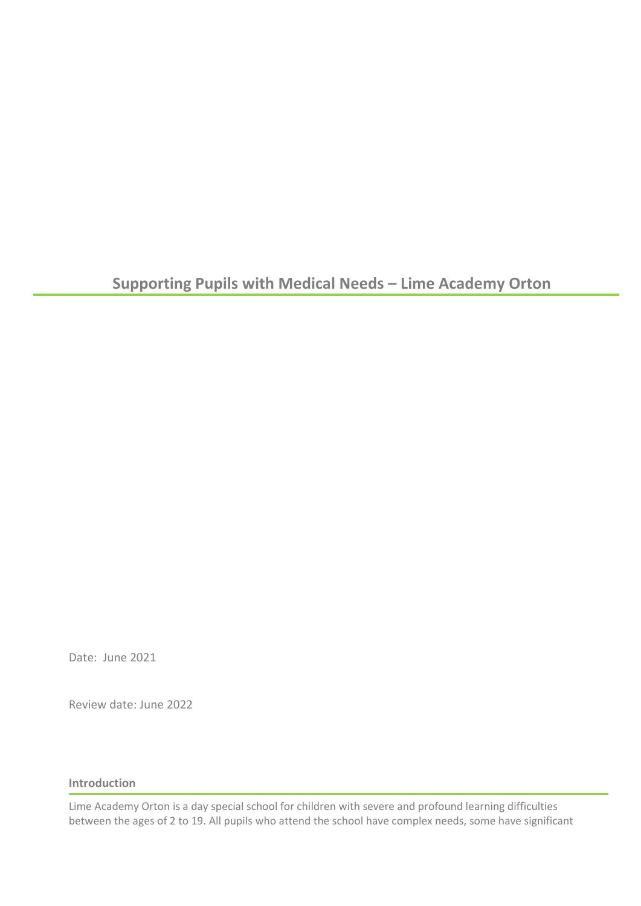# **Supporting Pupils with Medical Needs – Lime Academy Orton**

Date: June 2021

Review date: June 2022

**Introduction** 

Lime Academy Orton is a day special school for children with severe and profound learning difficulties between the ages of 2 to 19. All pupils who attend the school have complex needs, some have significant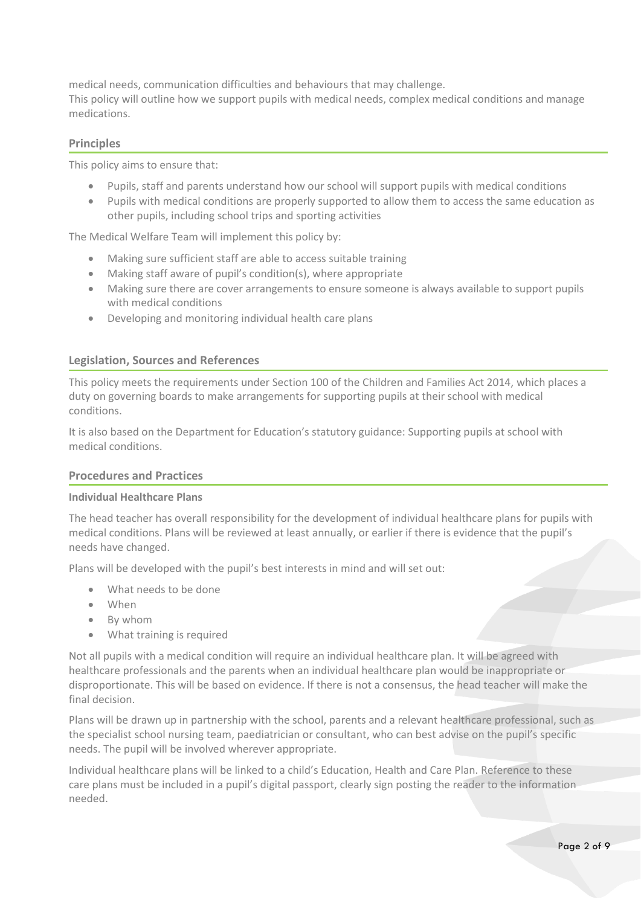medical needs, communication difficulties and behaviours that may challenge.

This policy will outline how we support pupils with medical needs, complex medical conditions and manage medications.

# **Principles**

This policy aims to ensure that:

- Pupils, staff and parents understand how our school will support pupils with medical conditions
- Pupils with medical conditions are properly supported to allow them to access the same education as other pupils, including school trips and sporting activities

The Medical Welfare Team will implement this policy by:

- Making sure sufficient staff are able to access suitable training
- Making staff aware of pupil's condition(s), where appropriate
- Making sure there are cover arrangements to ensure someone is always available to support pupils with medical conditions
- Developing and monitoring individual health care plans

## **Legislation, Sources and References**

This policy meets the requirements under Section 100 of the Children and Families Act 2014, which places a duty on governing boards to make arrangements for supporting pupils at their school with medical conditions.

It is also based on the Department for Education's statutory guidance: Supporting pupils at school with medical conditions.

#### **Procedures and Practices**

#### **Individual Healthcare Plans**

The head teacher has overall responsibility for the development of individual healthcare plans for pupils with medical conditions. Plans will be reviewed at least annually, or earlier if there is evidence that the pupil's needs have changed.

Plans will be developed with the pupil's best interests in mind and will set out:

- What needs to be done
- When
- By whom
- What training is required

Not all pupils with a medical condition will require an individual healthcare plan. It will be agreed with healthcare professionals and the parents when an individual healthcare plan would be inappropriate or disproportionate. This will be based on evidence. If there is not a consensus, the head teacher will make the final decision.

Plans will be drawn up in partnership with the school, parents and a relevant healthcare professional, such as the specialist school nursing team, paediatrician or consultant, who can best advise on the pupil's specific needs. The pupil will be involved wherever appropriate.

Individual healthcare plans will be linked to a child's Education, Health and Care Plan. Reference to these care plans must be included in a pupil's digital passport, clearly sign posting the reader to the information needed.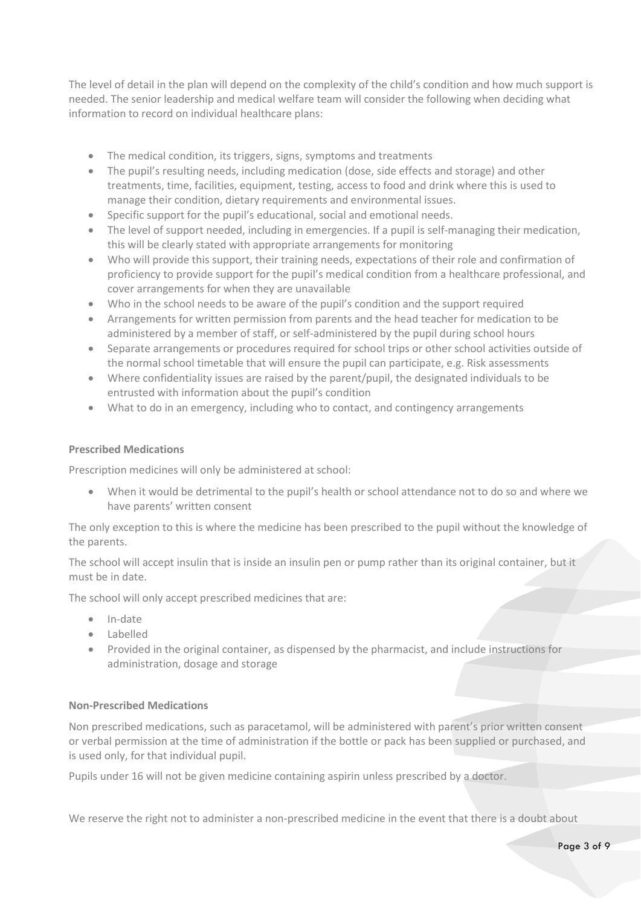The level of detail in the plan will depend on the complexity of the child's condition and how much support is needed. The senior leadership and medical welfare team will consider the following when deciding what information to record on individual healthcare plans:

- The medical condition, its triggers, signs, symptoms and treatments
- The pupil's resulting needs, including medication (dose, side effects and storage) and other treatments, time, facilities, equipment, testing, access to food and drink where this is used to manage their condition, dietary requirements and environmental issues.
- Specific support for the pupil's educational, social and emotional needs.
- The level of support needed, including in emergencies. If a pupil is self-managing their medication, this will be clearly stated with appropriate arrangements for monitoring
- Who will provide this support, their training needs, expectations of their role and confirmation of proficiency to provide support for the pupil's medical condition from a healthcare professional, and cover arrangements for when they are unavailable
- Who in the school needs to be aware of the pupil's condition and the support required
- Arrangements for written permission from parents and the head teacher for medication to be administered by a member of staff, or self-administered by the pupil during school hours
- Separate arrangements or procedures required for school trips or other school activities outside of the normal school timetable that will ensure the pupil can participate, e.g. Risk assessments
- Where confidentiality issues are raised by the parent/pupil, the designated individuals to be entrusted with information about the pupil's condition
- What to do in an emergency, including who to contact, and contingency arrangements

## **Prescribed Medications**

Prescription medicines will only be administered at school:

• When it would be detrimental to the pupil's health or school attendance not to do so and where we have parents' written consent

The only exception to this is where the medicine has been prescribed to the pupil without the knowledge of the parents.

The school will accept insulin that is inside an insulin pen or pump rather than its original container, but it must be in date.

The school will only accept prescribed medicines that are:

- In-date
- Labelled
- Provided in the original container, as dispensed by the pharmacist, and include instructions for administration, dosage and storage

## **Non-Prescribed Medications**

Non prescribed medications, such as paracetamol, will be administered with parent's prior written consent or verbal permission at the time of administration if the bottle or pack has been supplied or purchased, and is used only, for that individual pupil.

Pupils under 16 will not be given medicine containing aspirin unless prescribed by a doctor.

We reserve the right not to administer a non-prescribed medicine in the event that there is a doubt about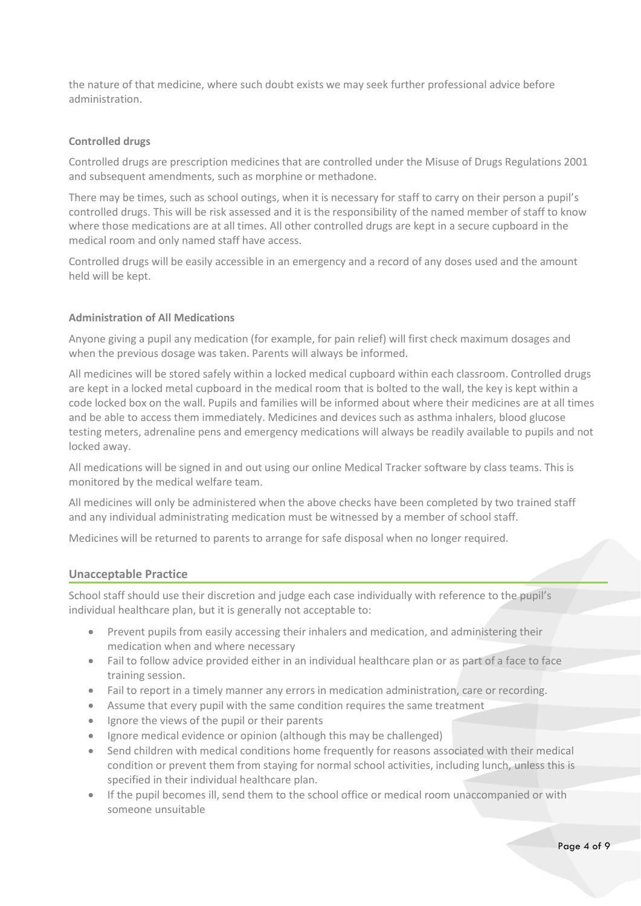the nature of that medicine, where such doubt exists we may seek further professional advice before administration.

#### **Controlled drugs**

Controlled drugs are prescription medicines that are controlled under the Misuse of Drugs Regulations 2001 and subsequent amendments, such as morphine or methadone.

There may be times, such as school outings, when it is necessary for staff to carry on their person a pupil's controlled drugs. This will be risk assessed and it is the responsibility of the named member of staff to know where those medications are at all times. All other controlled drugs are kept in a secure cupboard in the medical room and only named staff have access.

Controlled drugs will be easily accessible in an emergency and a record of any doses used and the amount held will be kept.

#### **Administration of All Medications**

Anyone giving a pupil any medication (for example, for pain relief) will first check maximum dosages and when the previous dosage was taken. Parents will always be informed.

All medicines will be stored safely within a locked medical cupboard within each classroom. Controlled drugs are kept in a locked metal cupboard in the medical room that is bolted to the wall, the key is kept within a code locked box on the wall. Pupils and families will be informed about where their medicines are at all times and be able to access them immediately. Medicines and devices such as asthma inhalers, blood glucose testing meters, adrenaline pens and emergency medications will always be readily available to pupils and not locked away.

All medications will be signed in and out using our online Medical Tracker software by class teams. This is monitored by the medical welfare team.

All medicines will only be administered when the above checks have been completed by two trained staff and any individual administrating medication must be witnessed by a member of school staff.

Medicines will be returned to parents to arrange for safe disposal when no longer required.

#### **Unacceptable Practice**

School staff should use their discretion and judge each case individually with reference to the pupil's individual healthcare plan, but it is generally not acceptable to:

- Prevent pupils from easily accessing their inhalers and medication, and administering their medication when and where necessary
- Fail to follow advice provided either in an individual healthcare plan or as part of a face to face training session.
- Fail to report in a timely manner any errors in medication administration, care or recording.
- Assume that every pupil with the same condition requires the same treatment
- Ignore the views of the pupil or their parents
- Ignore medical evidence or opinion (although this may be challenged)
- Send children with medical conditions home frequently for reasons associated with their medical condition or prevent them from staying for normal school activities, including lunch, unless this is specified in their individual healthcare plan.
- If the pupil becomes ill, send them to the school office or medical room unaccompanied or with someone unsuitable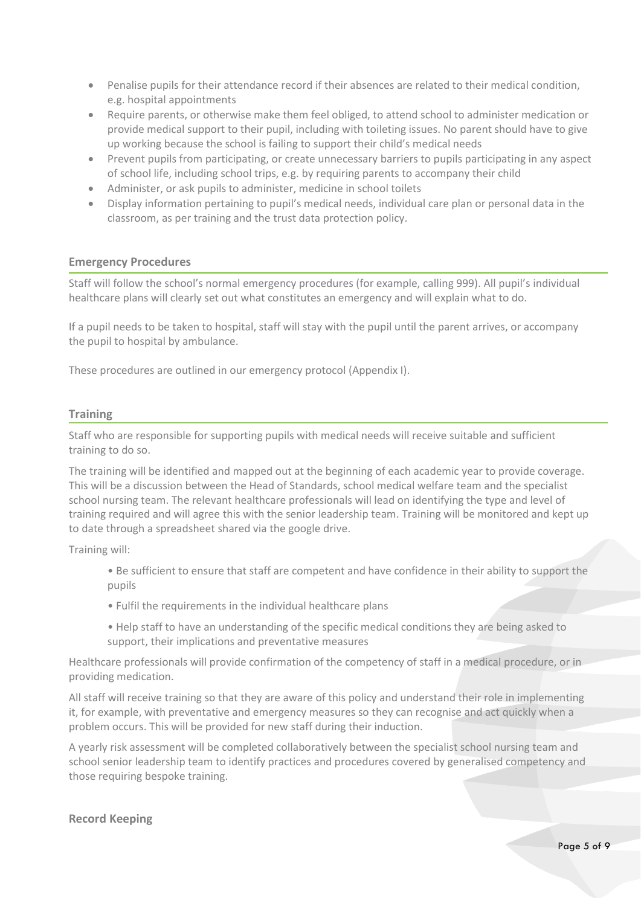- Penalise pupils for their attendance record if their absences are related to their medical condition, e.g. hospital appointments
- Require parents, or otherwise make them feel obliged, to attend school to administer medication or provide medical support to their pupil, including with toileting issues. No parent should have to give up working because the school is failing to support their child's medical needs
- Prevent pupils from participating, or create unnecessary barriers to pupils participating in any aspect of school life, including school trips, e.g. by requiring parents to accompany their child
- Administer, or ask pupils to administer, medicine in school toilets
- Display information pertaining to pupil's medical needs, individual care plan or personal data in the classroom, as per training and the trust data protection policy.

## **Emergency Procedures**

Staff will follow the school's normal emergency procedures (for example, calling 999). All pupil's individual healthcare plans will clearly set out what constitutes an emergency and will explain what to do.

If a pupil needs to be taken to hospital, staff will stay with the pupil until the parent arrives, or accompany the pupil to hospital by ambulance.

These procedures are outlined in our emergency protocol (Appendix I).

## **Training**

Staff who are responsible for supporting pupils with medical needs will receive suitable and sufficient training to do so.

The training will be identified and mapped out at the beginning of each academic year to provide coverage. This will be a discussion between the Head of Standards, school medical welfare team and the specialist school nursing team. The relevant healthcare professionals will lead on identifying the type and level of training required and will agree this with the senior leadership team. Training will be monitored and kept up to date through a spreadsheet shared via the google drive.

Training will:

- Be sufficient to ensure that staff are competent and have confidence in their ability to support the pupils
- Fulfil the requirements in the individual healthcare plans
- Help staff to have an understanding of the specific medical conditions they are being asked to support, their implications and preventative measures

Healthcare professionals will provide confirmation of the competency of staff in a medical procedure, or in providing medication.

All staff will receive training so that they are aware of this policy and understand their role in implementing it, for example, with preventative and emergency measures so they can recognise and act quickly when a problem occurs. This will be provided for new staff during their induction.

A yearly risk assessment will be completed collaboratively between the specialist school nursing team and school senior leadership team to identify practices and procedures covered by generalised competency and those requiring bespoke training.

## **Record Keeping**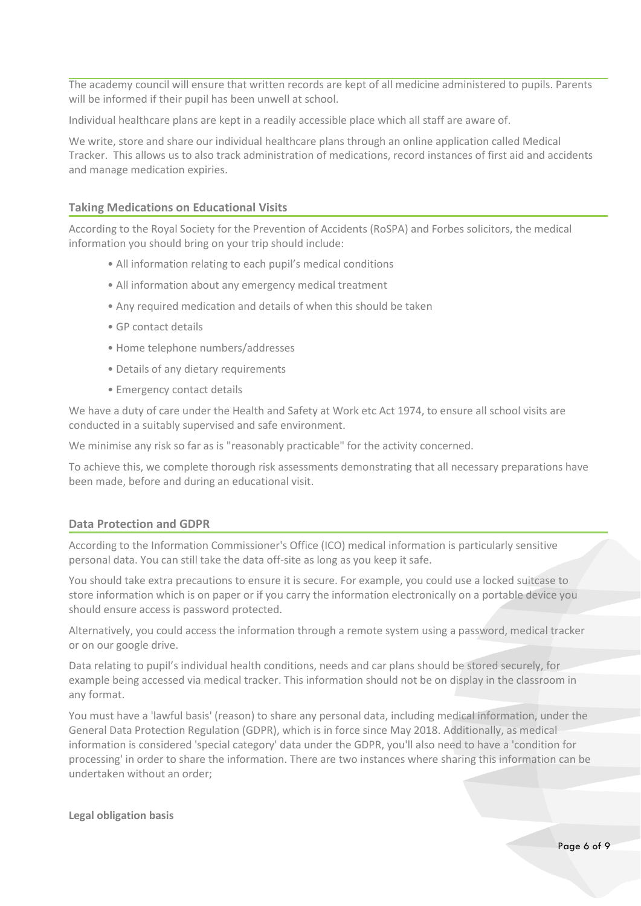The academy council will ensure that written records are kept of all medicine administered to pupils. Parents will be informed if their pupil has been unwell at school.

Individual healthcare plans are kept in a readily accessible place which all staff are aware of.

We write, store and share our individual healthcare plans through an online application called Medical Tracker. This allows us to also track administration of medications, record instances of first aid and accidents and manage medication expiries.

#### **Taking Medications on Educational Visits**

According to the Royal Society for the Prevention of Accidents (RoSPA) and Forbes solicitors, the medical information you should bring on your trip should include:

- All information relating to each pupil's medical conditions
- All information about any emergency medical treatment
- Any required medication and details of when this should be taken
- GP contact details
- Home telephone numbers/addresses
- Details of any dietary requirements
- Emergency contact details

We have a duty of care under the Health and Safety at Work etc Act 1974, to ensure all school visits are conducted in a suitably supervised and safe environment.

We minimise any risk so far as is "reasonably practicable" for the activity concerned.

To achieve this, we complete thorough risk assessments demonstrating that all necessary preparations have been made, before and during an educational visit.

#### **Data Protection and GDPR**

According to the Information Commissioner's Office (ICO) medical information is particularly sensitive personal data. You can still take the data off-site as long as you keep it safe.

You should take extra precautions to ensure it is secure. For example, you could use a locked suitcase to store information which is on paper or if you carry the information electronically on a portable device you should ensure access is password protected.

Alternatively, you could access the information through a remote system using a password, medical tracker or on our google drive.

Data relating to pupil's individual health conditions, needs and car plans should be stored securely, for example being accessed via medical tracker. This information should not be on display in the classroom in any format.

You must have a 'lawful basis' (reason) to share any personal data, including medical information, under the General Data Protection Regulation (GDPR), which is in force since May 2018. Additionally, as medical information is considered 'special category' data under the GDPR, you'll also need to have a 'condition for processing' in order to share the information. There are two instances where sharing this information can be undertaken without an order;

#### **Legal obligation basis**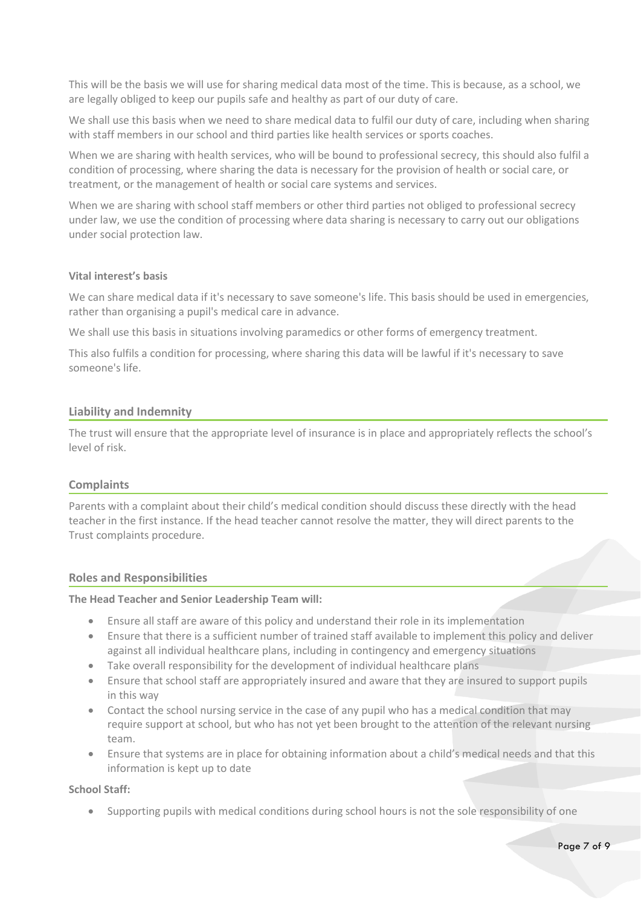This will be the basis we will use for sharing medical data most of the time. This is because, as a school, we are legally obliged to keep our pupils safe and healthy as part of our duty of care.

We shall use this basis when we need to share medical data to fulfil our duty of care, including when sharing with staff members in our school and third parties like health services or sports coaches.

When we are sharing with health services, who will be bound to professional secrecy, this should also fulfil a condition of processing, where sharing the data is necessary for the provision of health or social care, or treatment, or the management of health or social care systems and services.

When we are sharing with school staff members or other third parties not obliged to professional secrecy under law, we use the condition of processing where data sharing is necessary to carry out our obligations under social protection law.

#### **Vital interest's basis**

We can share medical data if it's necessary to save someone's life. This basis should be used in emergencies, rather than organising a pupil's medical care in advance.

We shall use this basis in situations involving paramedics or other forms of emergency treatment.

This also fulfils a condition for processing, where sharing this data will be lawful if it's necessary to save someone's life.

## **Liability and Indemnity**

The trust will ensure that the appropriate level of insurance is in place and appropriately reflects the school's level of risk.

## **Complaints**

Parents with a complaint about their child's medical condition should discuss these directly with the head teacher in the first instance. If the head teacher cannot resolve the matter, they will direct parents to the Trust complaints procedure.

## **Roles and Responsibilities**

#### **The Head Teacher and Senior Leadership Team will:**

- Ensure all staff are aware of this policy and understand their role in its implementation
- Ensure that there is a sufficient number of trained staff available to implement this policy and deliver against all individual healthcare plans, including in contingency and emergency situations
- Take overall responsibility for the development of individual healthcare plans
- Ensure that school staff are appropriately insured and aware that they are insured to support pupils in this way
- Contact the school nursing service in the case of any pupil who has a medical condition that may require support at school, but who has not yet been brought to the attention of the relevant nursing team.
- Ensure that systems are in place for obtaining information about a child's medical needs and that this information is kept up to date

#### **School Staff:**

• Supporting pupils with medical conditions during school hours is not the sole responsibility of one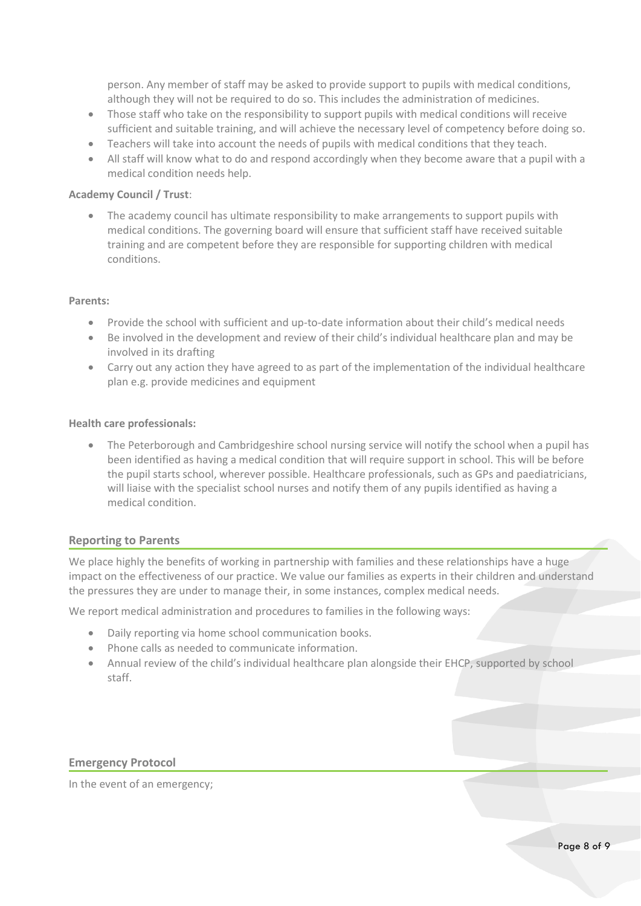person. Any member of staff may be asked to provide support to pupils with medical conditions, although they will not be required to do so. This includes the administration of medicines.

- Those staff who take on the responsibility to support pupils with medical conditions will receive sufficient and suitable training, and will achieve the necessary level of competency before doing so.
- Teachers will take into account the needs of pupils with medical conditions that they teach.
- All staff will know what to do and respond accordingly when they become aware that a pupil with a medical condition needs help.

#### **Academy Council / Trust**:

• The academy council has ultimate responsibility to make arrangements to support pupils with medical conditions. The governing board will ensure that sufficient staff have received suitable training and are competent before they are responsible for supporting children with medical conditions.

#### **Parents:**

- Provide the school with sufficient and up-to-date information about their child's medical needs
- Be involved in the development and review of their child's individual healthcare plan and may be involved in its drafting
- Carry out any action they have agreed to as part of the implementation of the individual healthcare plan e.g. provide medicines and equipment

#### **Health care professionals:**

• The Peterborough and Cambridgeshire school nursing service will notify the school when a pupil has been identified as having a medical condition that will require support in school. This will be before the pupil starts school, wherever possible. Healthcare professionals, such as GPs and paediatricians, will liaise with the specialist school nurses and notify them of any pupils identified as having a medical condition.

#### **Reporting to Parents**

We place highly the benefits of working in partnership with families and these relationships have a huge impact on the effectiveness of our practice. We value our families as experts in their children and understand the pressures they are under to manage their, in some instances, complex medical needs.

We report medical administration and procedures to families in the following ways:

- Daily reporting via home school communication books.
- Phone calls as needed to communicate information.
- Annual review of the child's individual healthcare plan alongside their EHCP, supported by school staff.

#### **Emergency Protocol**

In the event of an emergency;